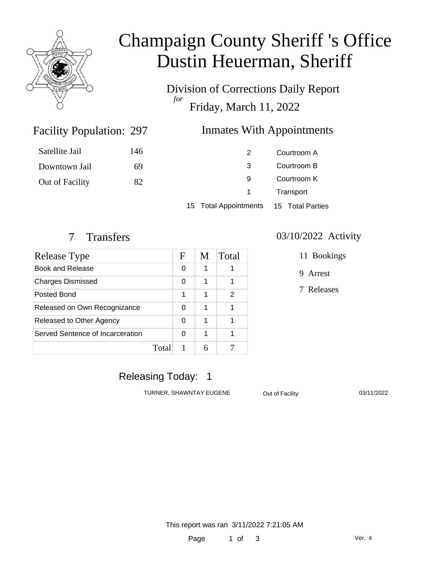

# Champaign County Sheriff 's Office Dustin Heuerman, Sheriff

Division of Corrections Daily Report *for* Friday, March 11, 2022

### Facility Population: 297

### Inmates With Appointments

| Satellite Jail  | 146 |                                        | Courtroom A |  |
|-----------------|-----|----------------------------------------|-------------|--|
| Downtown Jail   | 69  | 3                                      | Courtroom B |  |
| Out of Facility | 82  | 9                                      | Courtroom K |  |
|                 |     | $\sim$                                 | Transport   |  |
|                 |     | 15 Total Appointments 15 Total Parties |             |  |

| Release Type                     |       | F | M | Total |
|----------------------------------|-------|---|---|-------|
| Book and Release                 |       | 0 | 1 |       |
| <b>Charges Dismissed</b>         |       | 0 | 1 |       |
| Posted Bond                      |       | 1 | 1 | 2     |
| Released on Own Recognizance     |       | 0 | 1 |       |
| Released to Other Agency         |       | 0 | 1 |       |
| Served Sentence of Incarceration |       | ∩ | 1 |       |
|                                  | Total |   |   |       |

#### 7 Transfers 03/10/2022 Activity

11 Bookings

9 Arrest

7 Releases

### Releasing Today: 1

TURNER, SHAWNTAY EUGENE Out of Facility 03/11/2022

This report was ran 3/11/2022 7:21:05 AM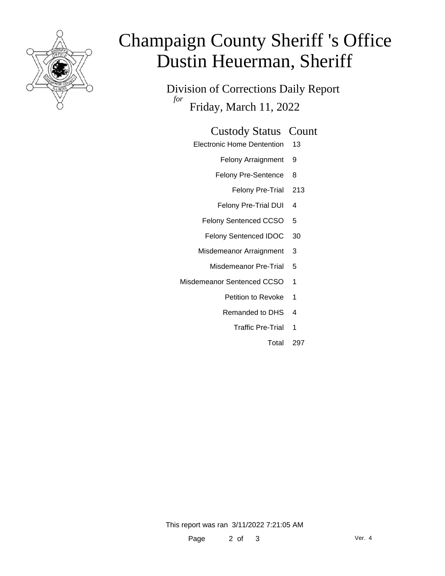

# Champaign County Sheriff 's Office Dustin Heuerman, Sheriff

Division of Corrections Daily Report *for* Friday, March 11, 2022

#### Custody Status Count

- Electronic Home Dentention 13
	- Felony Arraignment 9
	- Felony Pre-Sentence 8
		- Felony Pre-Trial 213
	- Felony Pre-Trial DUI 4
	- Felony Sentenced CCSO 5
	- Felony Sentenced IDOC 30
	- Misdemeanor Arraignment 3
		- Misdemeanor Pre-Trial 5
- Misdemeanor Sentenced CCSO 1
	- Petition to Revoke 1
	- Remanded to DHS 4
		- Traffic Pre-Trial 1
			- Total 297

This report was ran 3/11/2022 7:21:05 AM